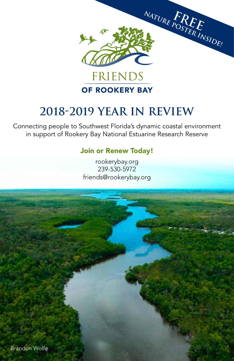

# **2018-2019 YEAR IN REVIEW**

Connecting people to Southwest Florida's dynamic coastal environment in support of Rookery Bay National Estuarine Research Reserve

#### Join or Renew Today!

rookerybay.org 239-530-5972 friends@rookerybay.org

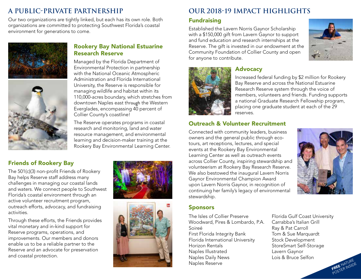# **A Public-Private Partnership**

Our two organizations are tightly linked, but each has its own role. Both organizations are committed to protecting Southwest Florida's coastal environment for generations to come.





#### Rookery Bay National Estuarine Research Reserve

Managed by the Florida Department of Environmental Protection in partnership with the National Oceanic Atmospheric Administration and Florida International University, the Reserve is responsible for managing wildlife and habitat within its 110,000-acres boundary, which stretches from downtown Naples east through the Western Everglades, encompassing 40 percent of Collier County's coastline!

The Reserve operates programs in coastal research and monitoring, land and water resource management, and environmental learning and decision-maker training at the Rookery Bay Environmental Learning Center.

#### Friends of Rookery Bay

The 501(c)(3) non-profit Friends of Rookery Bay helps Reserve staff address many challenges in managing our coastal lands and waters. We connect people to Southwest Florida's coastal environment through an active volunteer recruitment program, outreach efforts, advocacy, and fundraising activities.

Through these efforts, the Friends provides vital monetary and in-kind support for Reserve programs, operations, and improvements. Our members and donors enable us to be a reliable partner to the Reserve and an advocate for preservation and coastal protection.





# **Our 2018-19 Impact Highlights**

#### Fundraising

Established the Lavern Norris Gaynor Scholarship with a \$150,000 gift from Lavern Gaynor to support and fund education and research internships at the Reserve. The gift is invested in our endowment at the Community Foundation of Collier County and open for anyone to contribute.





### Advocacy

Increased federal funding by \$2 million for Rookery Bay Reserve and across the National Estuarine Research Reserve system through the voice of members, volunteers and friends. Funding supports a national Graduate Research Fellowship program, placing one graduate student at each of the 29 reserves.

#### Outreach & Volunteer Recruitment

Connected with community leaders, business owners and the general public through ecotours, art receptions, lectures, and special events at the Rookery Bay Environmental Learning Center as well as outreach events across Collier County, inspiring stewardship and volunteerism at Rookery Bay Research Reserve. We also bestowed the inaugural Lavern Norris Gaynor Environmental Champion Award upon Lavern Norris Gaynor, in recognition of continuing her family's legacy of environmental stewardship.



#### Sponsors

The Isles of Collier Preserve Woodward, Pires & Lombardo, P.A. Soireé First Florida Integrity Bank Florida International University Horizon Rentals Naples Illustrated Naples Daily News Naples Reserve

Florida Gulf Coast University Carrabba's Italian Grill Ray & Pat Carroll Tom & Sue Marquardt Stock Development StoreSmart Self-Storage Lavern Gaynor Lois & Bruce Selfon

![](_page_1_Picture_25.jpeg)